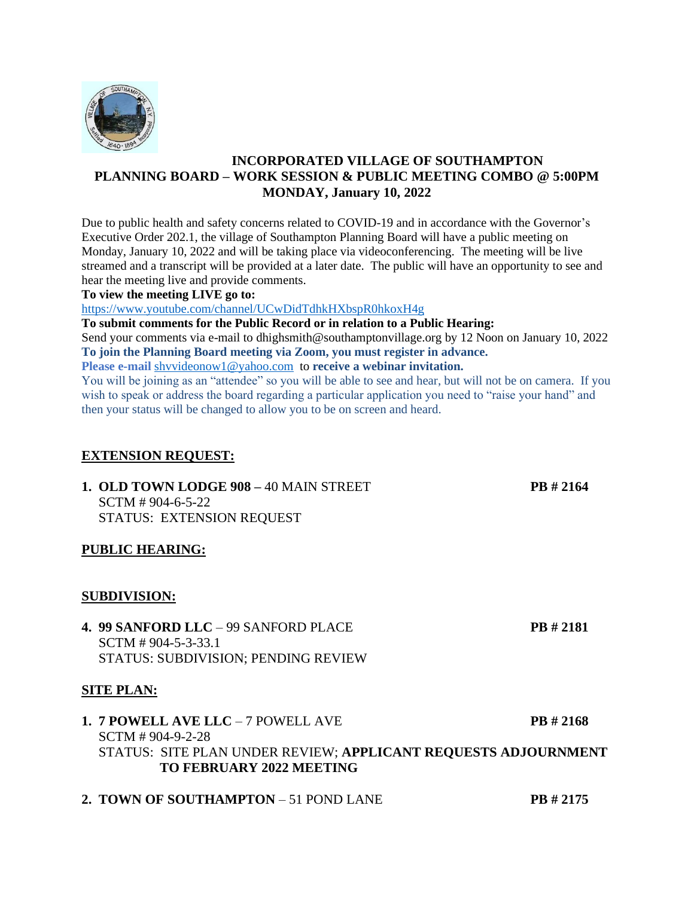

# **INCORPORATED VILLAGE OF SOUTHAMPTON PLANNING BOARD – WORK SESSION & PUBLIC MEETING COMBO @ 5:00PM MONDAY, January 10, 2022**

Due to public health and safety concerns related to COVID-19 and in accordance with the Governor's Executive Order 202.1, the village of Southampton Planning Board will have a public meeting on Monday, January 10, 2022 and will be taking place via videoconferencing. The meeting will be live streamed and a transcript will be provided at a later date. The public will have an opportunity to see and hear the meeting live and provide comments.

#### **To view the meeting LIVE go to:**

<https://www.youtube.com/channel/UCwDidTdhkHXbspR0hkoxH4g>

**To submit comments for the Public Record or in relation to a Public Hearing:**

Send your comments via e-mail to dhighsmith@southamptonvillage.org by 12 Noon on January 10, 2022 **To join the Planning Board meeting via Zoom, you must register in advance.**

**Please e-mail** [shvvideonow1@yahoo.com](mailto:shvvideonow1@yahoo.com) to **receive a webinar invitation.**

You will be joining as an "attendee" so you will be able to see and hear, but will not be on camera. If you wish to speak or address the board regarding a particular application you need to "raise your hand" and then your status will be changed to allow you to be on screen and heard.

## **EXTENSION REQUEST:**

**1. OLD TOWN LODGE 908 –** 40 MAIN STREET **PB # 2164** SCTM # 904-6-5-22 STATUS: EXTENSION REQUEST

### **PUBLIC HEARING:**

### **SUBDIVISION:**

**4. 99 SANFORD LLC** – 99 SANFORD PLACE **PB # 2181** SCTM # 904-5-3-33.1 STATUS: SUBDIVISION; PENDING REVIEW

### **SITE PLAN:**

# **1. 7 POWELL AVE LLC** – 7 POWELL AVE **PB # 2168** SCTM # 904-9-2-28 STATUS: SITE PLAN UNDER REVIEW; **APPLICANT REQUESTS ADJOURNMENT TO FEBRUARY 2022 MEETING**

**2. TOWN OF SOUTHAMPTON** – 51 POND LANE **PB # 2175**